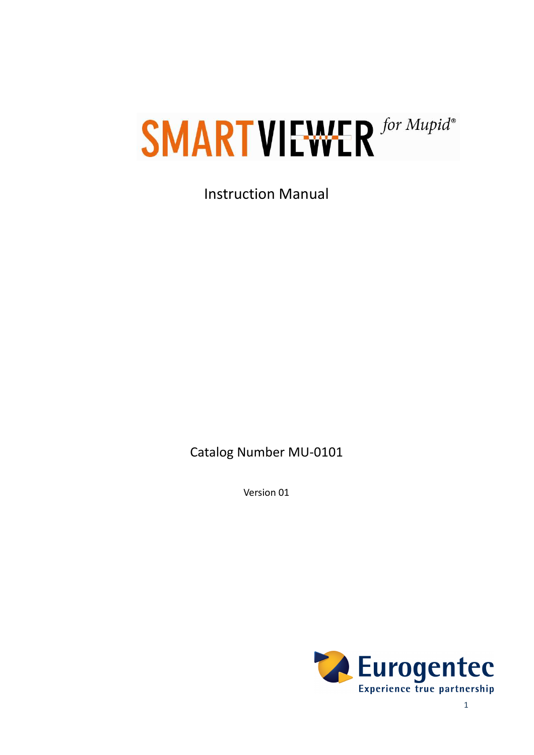# **SMART VIEWER** for Mupid®

Instruction Manual

Catalog Number MU-0101

Version 01

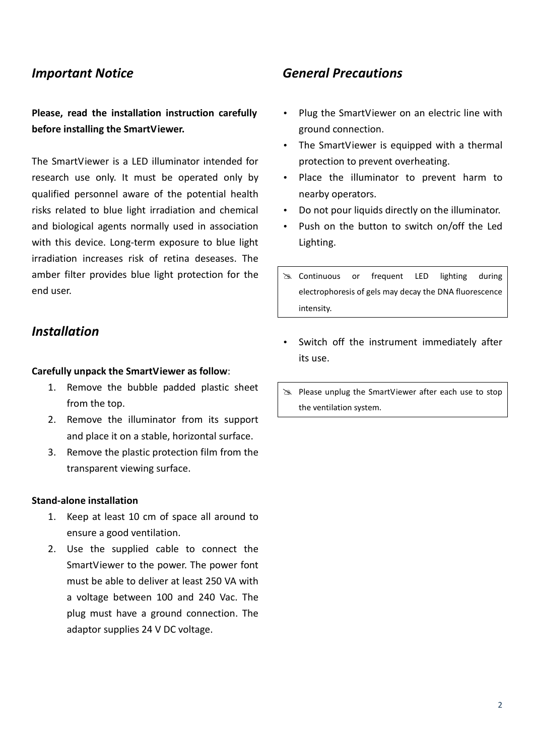#### *Important Notice*

**Please, read the installation instruction carefully before installing the SmartViewer.** 

The SmartViewer is a LED illuminator intended for research use only. It must be operated only by qualified personnel aware of the potential health risks related to blue light irradiation and chemical and biological agents normally used in association with this device. Long-term exposure to blue light irradiation increases risk of retina deseases. The amber filter provides blue light protection for the end user.

### *Installation*

#### **Carefully unpack the SmartViewer as follow**:

- 1. Remove the bubble padded plastic sheet from the top.
- 2. Remove the illuminator from its support and place it on a stable, horizontal surface.
- 3. Remove the plastic protection film from the transparent viewing surface.

#### **Stand-alone installation**

- 1. Keep at least 10 cm of space all around to ensure a good ventilation.
- 2. Use the supplied cable to connect the SmartViewer to the power. The power font must be able to deliver at least 250 VA with a voltage between 100 and 240 Vac. The plug must have a ground connection. The adaptor supplies 24 V DC voltage.

### *General Precautions*

- Plug the SmartViewer on an electric line with ground connection.
- The SmartViewer is equipped with a thermal protection to prevent overheating.
- Place the illuminator to prevent harm to nearby operators.
- Do not pour liquids directly on the illuminator.
- Push on the button to switch on/off the Led Lighting.
- Solutinuous or frequent LED lighting during electrophoresis of gels may decay the DNA fluorescence intensity.
- Switch off the instrument immediately after its use.
- Please unplug the SmartViewer after each use to stop the ventilation system.